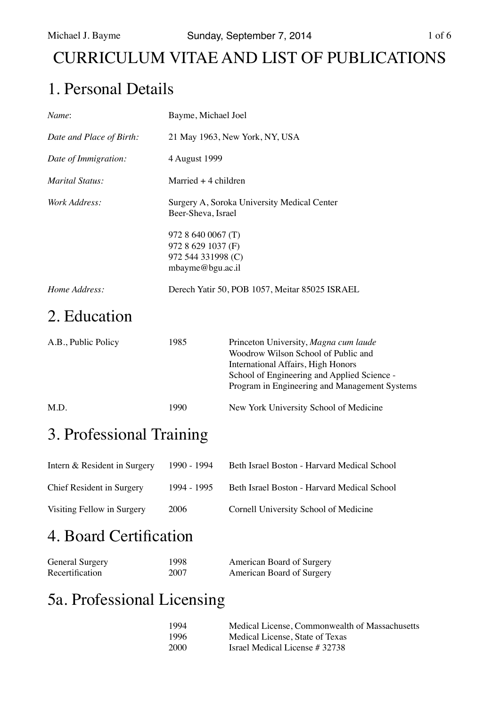## CURRICULUM VITAE AND LIST OF PUBLICATIONS

## 1. Personal Details

| Name:                    | Bayme, Michael Joel                                                                |
|--------------------------|------------------------------------------------------------------------------------|
| Date and Place of Birth: | 21 May 1963, New York, NY, USA                                                     |
| Date of Immigration:     | 4 August 1999                                                                      |
| <i>Marital Status:</i>   | Married $+4$ children                                                              |
| <i>Work Address:</i>     | Surgery A, Soroka University Medical Center<br>Beer-Sheva, Israel                  |
|                          | 972 8 640 0067 (T)<br>972 8 629 1037 (F)<br>972 544 331998 (C)<br>mbayme@bgu.ac.il |
| Home Address:            | Derech Yatir 50, POB 1057, Meitar 85025 ISRAEL                                     |

### 2. Education

| A.B., Public Policy | 1985 | Princeton University, Magna cum laude<br>Woodrow Wilson School of Public and<br>International Affairs, High Honors<br>School of Engineering and Applied Science -<br>Program in Engineering and Management Systems |  |
|---------------------|------|--------------------------------------------------------------------------------------------------------------------------------------------------------------------------------------------------------------------|--|
| M.D.                | 1990 | New York University School of Medicine                                                                                                                                                                             |  |

## 3. Professional Training

| Intern & Resident in Surgery | 1990 - 1994 | Beth Israel Boston - Harvard Medical School |
|------------------------------|-------------|---------------------------------------------|
| Chief Resident in Surgery    | 1994 - 1995 | Beth Israel Boston - Harvard Medical School |
| Visiting Fellow in Surgery   | 2006        | Cornell University School of Medicine       |

# 4. Board Certification

| <b>General Surgery</b> | 1998 | American Board of Surgery |
|------------------------|------|---------------------------|
| Recertification        | 2007 | American Board of Surgery |

### 5a. Professional Licensing

| 1994 | Medical License, Commonwealth of Massachusetts |
|------|------------------------------------------------|
| 1996 | Medical License, State of Texas                |
| 2000 | Israel Medical License # 32738                 |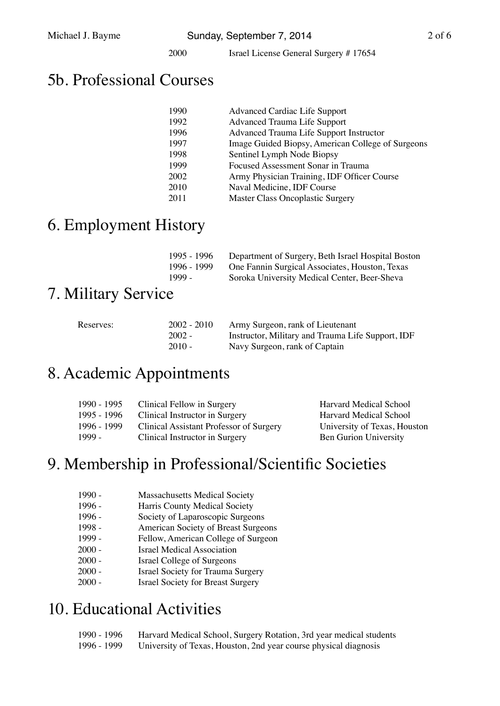2000 **Israel License General Surgery # 17654** 

### 5b. Professional Courses

| 1990 | <b>Advanced Cardiac Life Support</b>              |
|------|---------------------------------------------------|
| 1992 | <b>Advanced Trauma Life Support</b>               |
| 1996 | Advanced Trauma Life Support Instructor           |
| 1997 | Image Guided Biopsy, American College of Surgeons |
| 1998 | Sentinel Lymph Node Biopsy                        |
| 1999 | Focused Assessment Sonar in Trauma                |
| 2002 | Army Physician Training, IDF Officer Course       |
| 2010 | Naval Medicine, IDF Course                        |
| 2011 | <b>Master Class Oncoplastic Surgery</b>           |

### 6. Employment History

|        | 1995 - 1996 | Department of Surgery, Beth Israel Hospital Boston |
|--------|-------------|----------------------------------------------------|
|        | 1996 - 1999 | One Fannin Surgical Associates, Houston, Texas     |
| 1999 - |             | Soroka University Medical Center, Beer-Sheva       |

### 7. Military Service

| Reserves: | $2002 - 2010$ | Army Surgeon, rank of Lieutenant                  |
|-----------|---------------|---------------------------------------------------|
|           | $2002 -$      | Instructor, Military and Trauma Life Support, IDF |
|           | $2010 -$      | Navy Surgeon, rank of Captain                     |

#### 8. Academic Appointments

| 1990 - 1995 | Clinical Fellow in Surgery              | Harvard Medical School       |
|-------------|-----------------------------------------|------------------------------|
| 1995 - 1996 | Clinical Instructor in Surgery          | Harvard Medical School       |
| 1996 - 1999 | Clinical Assistant Professor of Surgery | University of Texas, Houston |
| 1999 -      | Clinical Instructor in Surgery          | <b>Ben Gurion University</b> |

### 9. Membership in Professional/Scientific Societies

- 1990 Massachusetts Medical Society
- 1996 **Harris County Medical Society**
- 1996 Society of Laparoscopic Surgeons
- 1998 **American Society of Breast Surgeons**
- 1999 Fellow, American College of Surgeon
- 2000 **Israel Medical Association**
- 2000 **Israel College of Surgeons**
- 2000 **Israel Society for Trauma Surgery**
- 2000 **Israel Society for Breast Surgery**

### 10. Educational Activities

| 1990 - 1996 | Harvard Medical School, Surgery Rotation, 3rd year medical students |
|-------------|---------------------------------------------------------------------|
| 1996 - 1999 | University of Texas, Houston, 2nd year course physical diagnosis    |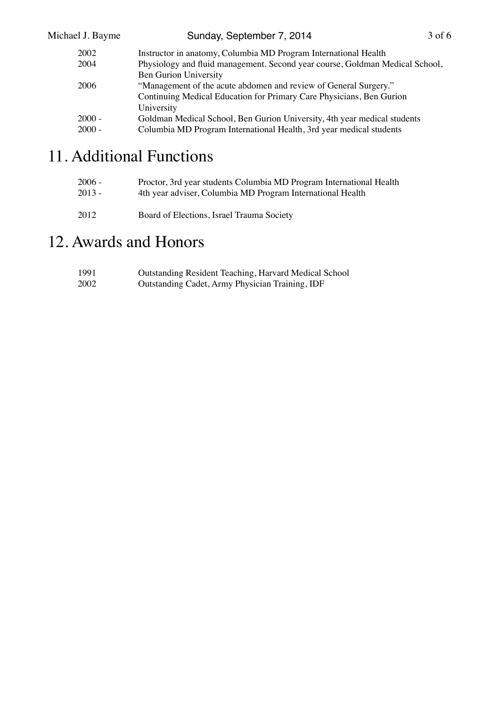| Michael J. Bayme | Sunday, September 7, 2014                                                    | $3$ of 6 |
|------------------|------------------------------------------------------------------------------|----------|
| 2002             | Instructor in anatomy, Columbia MD Program International Health              |          |
| 2004             | Physiology and fluid management. Second year course, Goldman Medical School, |          |
|                  | Ben Gurion University                                                        |          |
| 2006             | "Management of the acute abdomen and review of General Surgery."             |          |
|                  | Continuing Medical Education for Primary Care Physicians, Ben Gurion         |          |
|                  | University                                                                   |          |
| $2000 -$         | Goldman Medical School, Ben Gurion University, 4th year medical students     |          |
| $2000 -$         | Columbia MD Program International Health, 3rd year medical students          |          |
|                  |                                                                              |          |

## 11. Additional Functions

| $2006 -$ | Proctor, 3rd year students Columbia MD Program International Health |
|----------|---------------------------------------------------------------------|
| $2013 -$ | 4th year adviser, Columbia MD Program International Health          |
| 2012     | Board of Elections, Israel Trauma Society                           |

### 12. Awards and Honors

| 1991 | Outstanding Resident Teaching, Harvard Medical School |
|------|-------------------------------------------------------|
| 2002 | Outstanding Cadet, Army Physician Training, IDF       |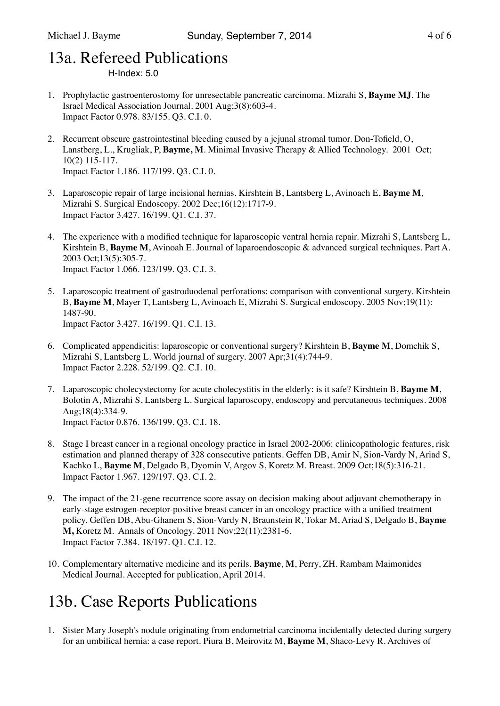### 13a. Refereed Publications

 $H$ -Index:  $5.0$ 

- 1. Prophylactic gastroenterostomy for unresectable pancreatic carcinoma. Mizrahi S, **Bayme MJ**. The Israel Medical Association Journal. 2001 Aug;3(8):603-4. Impact Factor 0.978. 83/155. Q3. C.I. 0.
- 2. Recurrent obscure gastrointestinal bleeding caused by a jejunal stromal tumor. Don-Tofield, O, Lanstberg, L., Krugliak, P, **Bayme, M**. Minimal Invasive Therapy & Allied Technology. 2001 Oct; 10(2) 115-117. Impact Factor 1.186. 117/199. Q3. C.I. 0.
- 3. Laparoscopic repair of large incisional hernias. Kirshtein B, Lantsberg L, Avinoach E, **Bayme M**, Mizrahi S. Surgical Endoscopy. 2002 Dec;16(12):1717-9. Impact Factor 3.427. 16/199. Q1. C.I. 37.
- 4. The experience with a modified technique for laparoscopic ventral hernia repair. Mizrahi S, Lantsberg L, Kirshtein B, **Bayme M**, Avinoah E. Journal of laparoendoscopic & advanced surgical techniques. Part A. 2003 Oct;13(5):305-7. Impact Factor 1.066. 123/199. Q3. C.I. 3.
- 5. Laparoscopic treatment of gastroduodenal perforations: comparison with conventional surgery. Kirshtein B, **Bayme M**, Mayer T, Lantsberg L, Avinoach E, Mizrahi S. Surgical endoscopy. 2005 Nov;19(11): 1487-90. Impact Factor 3.427. 16/199. Q1. C.I. 13.
- 6. Complicated appendicitis: laparoscopic or conventional surgery? Kirshtein B, **Bayme M**, Domchik S, Mizrahi S, Lantsberg L. World journal of surgery. 2007 Apr;31(4):744-9. Impact Factor 2.228. 52/199. Q2. C.I. 10.
- 7. Laparoscopic cholecystectomy for acute cholecystitis in the elderly: is it safe? Kirshtein B, **Bayme M**, Bolotin A, Mizrahi S, Lantsberg L. Surgical laparoscopy, endoscopy and percutaneous techniques. 2008 Aug;18(4):334-9. Impact Factor 0.876. 136/199. Q3. C.I. 18.
- 8. Stage I breast cancer in a regional oncology practice in Israel 2002-2006: clinicopathologic features, risk estimation and planned therapy of 328 consecutive patients. Geffen DB, Amir N, Sion-Vardy N, Ariad S, Kachko L, **Bayme M**, Delgado B, Dyomin V, Argov S, Koretz M. Breast. 2009 Oct;18(5):316-21. Impact Factor 1.967. 129/197. Q3. C.I. 2.
- 9. The impact of the 21-gene recurrence score assay on decision making about adjuvant chemotherapy in early-stage estrogen-receptor-positive breast cancer in an oncology practice with a unified treatment policy. Geffen DB, Abu-Ghanem S, Sion-Vardy N, Braunstein R, Tokar M, Ariad S, Delgado B, **Bayme M,** Koretz M. Annals of Oncology. 2011 Nov;22(11):2381-6. Impact Factor 7.384. 18/197. Q1. C.I. 12.
- 10. Complementary alternative medicine and its perils. **Bayme**, **M**, Perry, ZH. Rambam Maimonides Medical Journal. Accepted for publication, April 2014.

# 13b. Case Reports Publications

1. Sister Mary Joseph's nodule originating from endometrial carcinoma incidentally detected during surgery for an umbilical hernia: a case report. Piura B, Meirovitz M, **Bayme M**, Shaco-Levy R. Archives of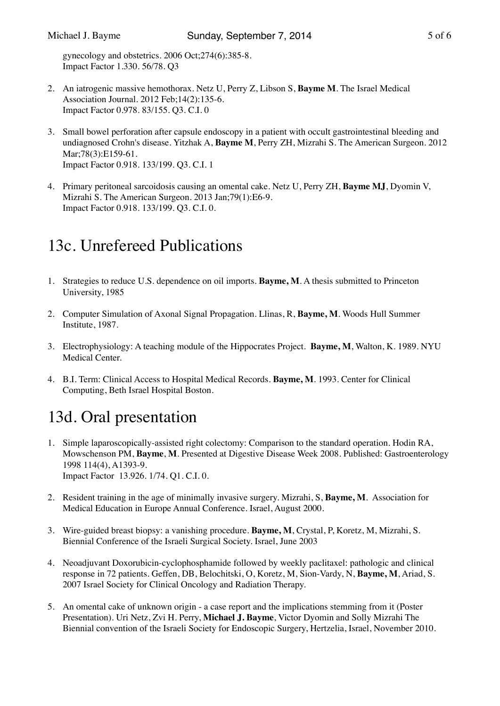gynecology and obstetrics. 2006 Oct;274(6):385-8. Impact Factor 1.330. 56/78. Q3

- 2. An iatrogenic massive hemothorax. Netz U, Perry Z, Libson S, **Bayme M**. The Israel Medical Association Journal. 2012 Feb;14(2):135-6. Impact Factor 0.978. 83/155. Q3. C.I. 0
- 3. Small bowel perforation after capsule endoscopy in a patient with occult gastrointestinal bleeding and undiagnosed Crohn's disease. Yitzhak A, **Bayme M**, Perry ZH, Mizrahi S. The American Surgeon. 2012 Mar;78(3):E159-61. Impact Factor 0.918. 133/199. Q3. C.I. 1
- 4. Primary peritoneal sarcoidosis causing an omental cake. Netz U, Perry ZH, **Bayme MJ**, Dyomin V, Mizrahi S. The American Surgeon. 2013 Jan;79(1):E6-9. Impact Factor 0.918. 133/199. Q3. C.I. 0.

## 13c. Unrefereed Publications

- 1. Strategies to reduce U.S. dependence on oil imports. **Bayme, M**. A thesis submitted to Princeton University, 1985
- 2. Computer Simulation of Axonal Signal Propagation. Llinas, R, **Bayme, M**. Woods Hull Summer Institute, 1987.
- 3. Electrophysiology: A teaching module of the Hippocrates Project. **Bayme, M**, Walton, K. 1989. NYU Medical Center.
- 4. B.I. Term: Clinical Access to Hospital Medical Records. **Bayme, M**. 1993. Center for Clinical Computing, Beth Israel Hospital Boston.

## 13d. Oral presentation

- 1. Simple laparoscopically-assisted right colectomy: Comparison to the standard operation. Hodin RA, Mowschenson PM, **Bayme**, **M**. Presented at Digestive Disease Week 2008. Published: Gastroenterology 1998 114(4), A1393-9. Impact Factor 13.926. 1/74. Q1. C.I. 0.
- 2. Resident training in the age of minimally invasive surgery. Mizrahi, S, **Bayme, M**. Association for Medical Education in Europe Annual Conference. Israel, August 2000.
- 3. Wire-guided breast biopsy: a vanishing procedure. **Bayme, M**, Crystal, P, Koretz, M, Mizrahi, S. Biennial Conference of the Israeli Surgical Society. Israel, June 2003
- 4. Neoadjuvant Doxorubicin-cyclophosphamide followed by weekly paclitaxel: pathologic and clinical response in 72 patients. Geffen, DB, Belochitski, O, Koretz, M, Sion-Vardy, N, **Bayme, M**, Ariad, S. 2007 Israel Society for Clinical Oncology and Radiation Therapy.
- 5. An omental cake of unknown origin a case report and the implications stemming from it (Poster Presentation). Uri Netz, Zvi H. Perry, **Michael J. Bayme**, Victor Dyomin and Solly Mizrahi The Biennial convention of the Israeli Society for Endoscopic Surgery, Hertzelia, Israel, November 2010.